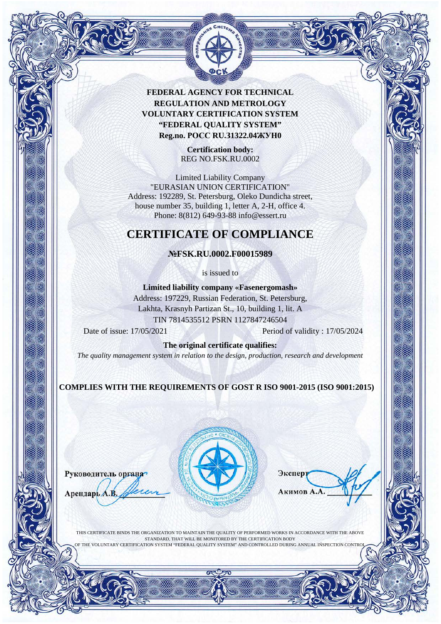

> **Certification body:** REG NO.FSK.RU.0002

Limited Liability Cоmpany "EURASIAN UNION CERTIFICATION" Address: 192289, St. Petersburg, Oleko Dundicha street, house number 35, building 1, letter A, 2-H, office 4. Phone: 8(812) 649-93-88 info@essert.ru

# **CERTIFICATE OF COMPLIANCE**

#### **№FSK.RU.0002.F00015989**

is issued to

**Limited liability company «Fasenergomash»** Address: 197229, Russian Federation, St. Petersburg, Lakhta, Krasnyh Partizan St., 10, building 1, lit. A TIN 7814535512 PSRN 1127847246504

Date of issue: 17/05/2021 Period of validity : 17/05/2024

**The original certificate qualifies:**

*The quality management system in relation to the design, production, research and development*

**COMPLIES WITH THE REQUIREMENTS OF GOST R ISO 9001-2015 (ISO 9001:2015)**

Руководитель органа Арендарь А.В



Экспер **Акимов А** 

THIS CERTIFICATE BINDS THE ORGANIZATION TO MAINTAIN THE QUALITY OF PERFORMED WORKS IN ACCORDANCE WITH THE ABOVE STANDARD, THAT WILL BE MONITORED BY THE CERTIFICATION BODY OF THE VOLUNTARY CERTIFICATION SYSTEM "FEDERAL QUALITY SYSTEM" AND CONTROLLED DURING ANNUAL INSPECTION CONTROL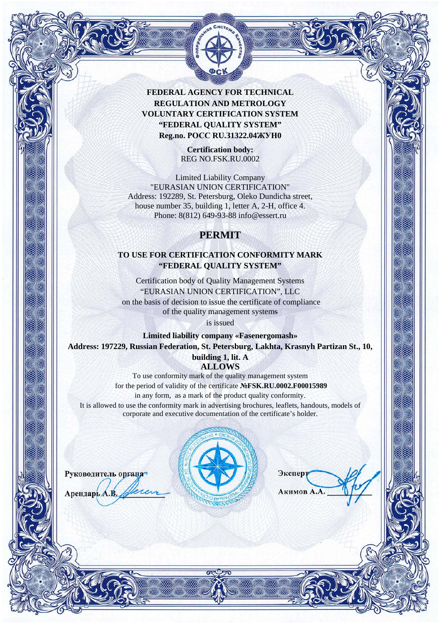

> **Certification body:** REG NO.FSK.RU.0002

Limited Liability Cоmpany "EURASIAN UNION CERTIFICATION" Address: 192289, St. Petersburg, Oleko Dundicha street, house number 35, building 1, letter A, 2-H, office 4. Phone: 8(812) 649-93-88 info@essert.ru

## **PERMIT**

### **TO USE FOR CERTIFICATION CONFORMITY MARK "FEDERAL QUALITY SYSTEM"**

Certification body of Quality Management Systems "EURASIAN UNION CERTIFICATION", LLC on the basis of decision to issue the certificate of compliance of the quality management systems

is issued

**Limited liability company «Fasenergomash» Address: 197229, Russian Federation, St. Petersburg, Lakhta, Krasnyh Partizan St., 10,** 

> **building 1, lit. A ALLOWS**

To use conformity mark of the quality management system for the period of validity of the certificate **№FSK.RU.0002.F00015989** in any form, as a mark of the product quality conformity. It is allowed to use the conformity mark in advertising brochures, leaflets, handouts, models of corporate and executive documentation of the certificate's holder.



Руководитель органа

Арендарь А.В.

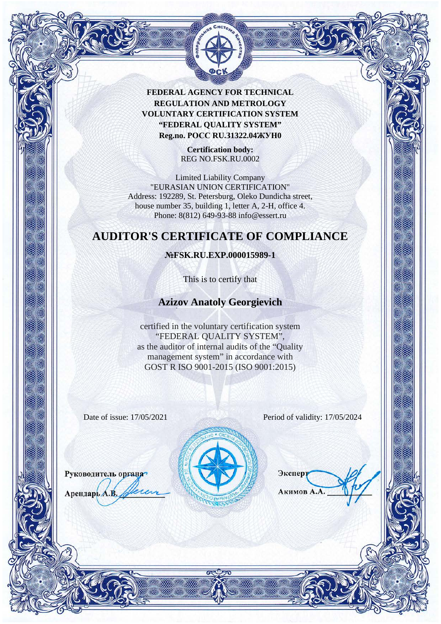

> **Certification body:** REG NO.FSK.RU.0002

Limited Liability Cоmpany "EURASIAN UNION CERTIFICATION" Address: 192289, St. Petersburg, Oleko Dundicha street, house number 35, building 1, letter A, 2-H, office 4. Phone: 8(812) 649-93-88 info@essert.ru

## **AUDITOR'S CERTIFICATE OF COMPLIANCE**

#### **№FSK.RU.EXP.000015989-1**

This is to certify that

### **Azizov Anatoly Georgievich**

certified in the voluntary certification system "FEDERAL QUALITY SYSTEM", as the auditor of internal audits of the "Quality management system" in accordance with GOST R ISO 9001-2015 (ISO 9001:2015)

Руководитель органа

Арендарь А.В.

Date of issue: 17/05/2021 Period of validity: 17/05/2024



Экспер **Акимов А**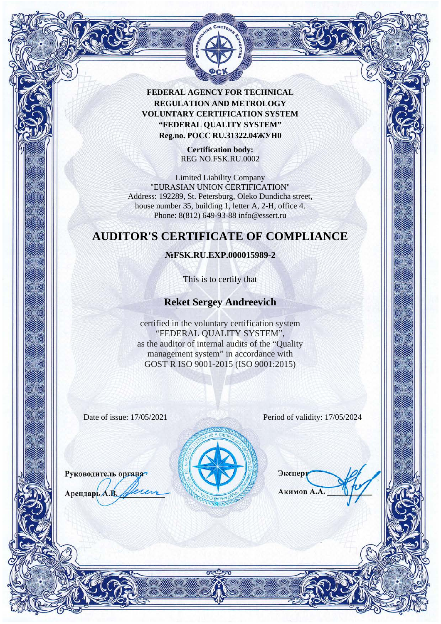

> **Certification body:** REG NO.FSK.RU.0002

Limited Liability Cоmpany "EURASIAN UNION CERTIFICATION" Address: 192289, St. Petersburg, Oleko Dundicha street, house number 35, building 1, letter A, 2-H, office 4. Phone: 8(812) 649-93-88 info@essert.ru

## **AUDITOR'S CERTIFICATE OF COMPLIANCE**

#### **№FSK.RU.EXP.000015989-2**

This is to certify that

### **Reket Sergey Andreevich**

certified in the voluntary certification system "FEDERAL QUALITY SYSTEM", as the auditor of internal audits of the "Quality management system" in accordance with GOST R ISO 9001-2015 (ISO 9001:2015)

Руководитель органа

Арендарь А.В.

Date of issue: 17/05/2021 Period of validity: 17/05/2024



Экспер **Акимов А**